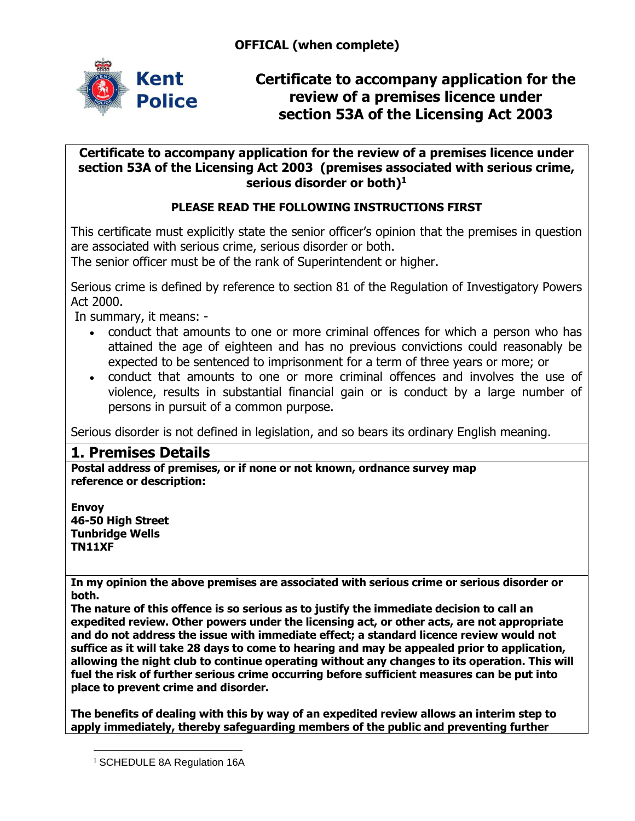**OFFICAL (when complete)**



**Certificate to accompany application for the review of a premises licence under section 53A of the Licensing Act 2003** 

### **Certificate to accompany application for the review of a premises licence under section 53A of the Licensing Act 2003 (premises associated with serious crime, serious disorder or both)<sup>1</sup>**

## **PLEASE READ THE FOLLOWING INSTRUCTIONS FIRST**

This certificate must explicitly state the senior officer's opinion that the premises in question are associated with serious crime, serious disorder or both.

The senior officer must be of the rank of Superintendent or higher.

Serious crime is defined by reference to section 81 of the Regulation of Investigatory Powers Act 2000.

In summary, it means: -

- conduct that amounts to one or more criminal offences for which a person who has attained the age of eighteen and has no previous convictions could reasonably be expected to be sentenced to imprisonment for a term of three years or more; or
- conduct that amounts to one or more criminal offences and involves the use of violence, results in substantial financial gain or is conduct by a large number of persons in pursuit of a common purpose.

Serious disorder is not defined in legislation, and so bears its ordinary English meaning.

## **1. Premises Details**

**Postal address of premises, or if none or not known, ordnance survey map reference or description:**

**Envoy 46-50 High Street Tunbridge Wells TN11XF**

 $\overline{a}$ 

**In my opinion the above premises are associated with serious crime or serious disorder or both.** 

**The nature of this offence is so serious as to justify the immediate decision to call an expedited review. Other powers under the licensing act, or other acts, are not appropriate and do not address the issue with immediate effect; a standard licence review would not suffice as it will take 28 days to come to hearing and may be appealed prior to application, allowing the night club to continue operating without any changes to its operation. This will fuel the risk of further serious crime occurring before sufficient measures can be put into place to prevent crime and disorder.**

**The benefits of dealing with this by way of an expedited review allows an interim step to apply immediately, thereby safeguarding members of the public and preventing further** 

<sup>&</sup>lt;sup>1</sup> SCHEDULE 8A Regulation 16A